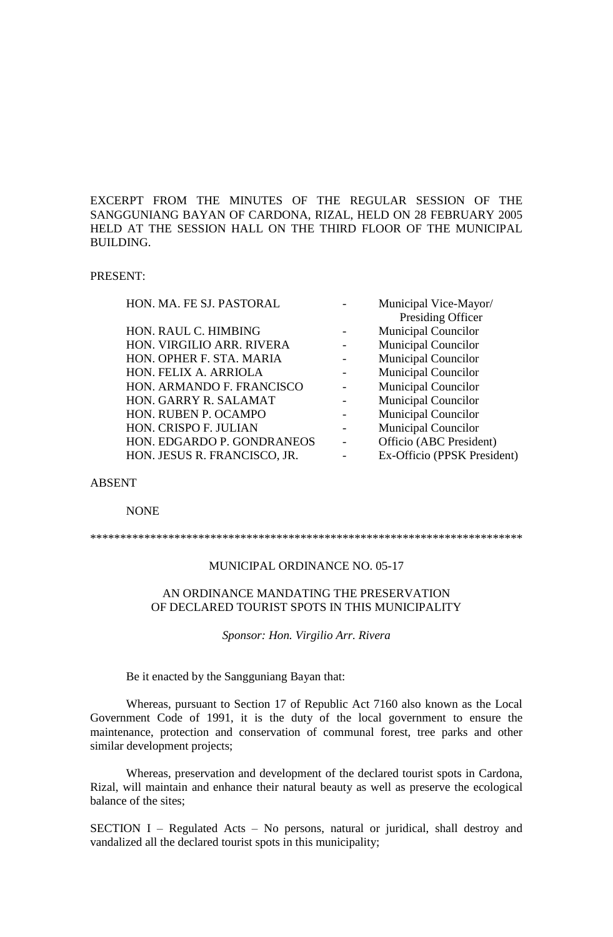EXCERPT FROM THE MINUTES OF THE REGULAR SESSION OF THE SANGGUNIANG BAYAN OF CARDONA, RIZAL, HELD ON 28 FEBRUARY 2005 HELD AT THE SESSION HALL ON THE THIRD FLOOR OF THE MUNICIPAL BUILDING.

## PRESENT:

| Municipal Vice-Mayor/       |
|-----------------------------|
| Presiding Officer           |
| <b>Municipal Councilor</b>  |
| <b>Municipal Councilor</b>  |
| <b>Municipal Councilor</b>  |
| <b>Municipal Councilor</b>  |
| <b>Municipal Councilor</b>  |
| <b>Municipal Councilor</b>  |
| <b>Municipal Councilor</b>  |
| <b>Municipal Councilor</b>  |
| Officio (ABC President)     |
| Ex-Officio (PPSK President) |
|                             |

#### ABSENT

#### NONE

\*\*\*\*\*\*\*\*\*\*\*\*\*\*\*\*\*\*\*\*\*\*\*\*\*\*\*\*\*\*\*\*\*\*\*\*\*\*\*\*\*\*\*\*\*\*\*\*\*\*\*\*\*\*\*\*\*\*\*\*\*\*\*\*\*\*\*\*\*\*\*\*

### MUNICIPAL ORDINANCE NO. 05-17

#### AN ORDINANCE MANDATING THE PRESERVATION OF DECLARED TOURIST SPOTS IN THIS MUNICIPALITY

*Sponsor: Hon. Virgilio Arr. Rivera*

Be it enacted by the Sangguniang Bayan that:

Whereas, pursuant to Section 17 of Republic Act 7160 also known as the Local Government Code of 1991, it is the duty of the local government to ensure the maintenance, protection and conservation of communal forest, tree parks and other similar development projects;

Whereas, preservation and development of the declared tourist spots in Cardona, Rizal, will maintain and enhance their natural beauty as well as preserve the ecological balance of the sites;

SECTION I – Regulated Acts – No persons, natural or juridical, shall destroy and vandalized all the declared tourist spots in this municipality;